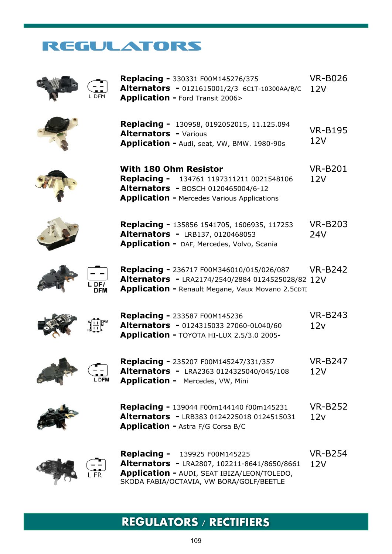## REGULATORS



**Replacing -** 330331 F00M145276/375 **Alternators -** 0121615001/2/3 6C1T-10300AA/B/C 12V **Application -** Ford Transit 2006> VR-B026



**Replacing -** 130958, 0192052015, 11.125.094 **Alternators -** Various **Application -** Audi, seat, VW, BMW. 1980-90s VR-B195  $12V$ 













**Replacing -** 236717 F00M346010/015/026/087 **Alternators -** LRA2174/2540/2884 0124525028/82 12V **Application -** Renault Megane, Vaux Movano 2.5CDTI VR-B242



L DFI

| <b>Replacing - 233587 F00M145236</b>           | <b>VR-B243</b> |
|------------------------------------------------|----------------|
| <b>Alternators -</b> 0124315033 27060-0L040/60 | 12v            |
| Application - TOYOTA HI-LUX 2.5/3.0 2005-      |                |



| <b>Replacing - 235207 F00M145247/331/357</b>    | <b>VR-B247</b> |
|-------------------------------------------------|----------------|
| <b>Alternators - LRA2363 0124325040/045/108</b> | 12V            |
| <b>Application -</b> Mercedes, VW, Mini         |                |



**Replacing -** 139044 F00m144140 f00m145231 **Alternators -** LRB383 0124225018 0124515031 **Application -** Astra F/G Corsa B/C VR-B252  $12v$ 



**Replacing -** 139925 F00M145225 **Alternators -** LRA2807, 102211-8641/8650/8661 **Application -** AUDI, SEAT IBIZA/LEON/TOLEDO, SKODA FABIA/OCTAVIA, VW BORA/GOLF/BEETLE VR-B254  $12V$ 

## **REGULATORS / RECTIFIERS**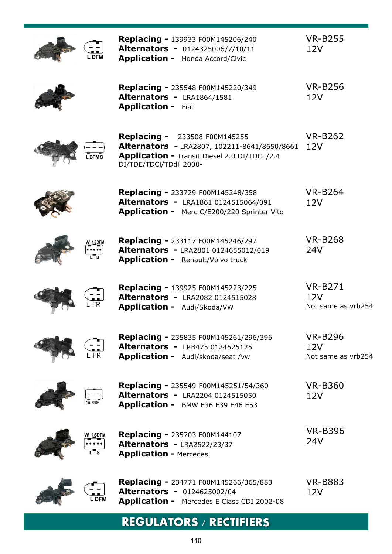|       | Replacing - 139933 F00M145206/240<br>Alternators - 0124325006/7/10/11<br><b>Application -</b> Honda Accord/Civic                                                | <b>VR-B255</b><br>12V                       |
|-------|-----------------------------------------------------------------------------------------------------------------------------------------------------------------|---------------------------------------------|
|       | <b>Replacing - 235548 F00M145220/349</b><br>Alternators - LRA1864/1581<br><b>Application - Fiat</b>                                                             | <b>VR-B256</b><br>12V                       |
|       | <b>Replacing -</b> 233508 F00M145255<br>Alternators - LRA2807, 102211-8641/8650/8661<br>Application - Transit Diesel 2.0 DI/TDCi /2.4<br>DI/TDE/TDCi/TDdi 2000- | <b>VR-B262</b><br>12V                       |
|       | <b>Replacing - 233729 F00M145248/358</b><br>Alternators - LRA1861 0124515064/091<br><b>Application -</b> Merc C/E200/220 Sprinter Vito                          | <b>VR-B264</b><br>12V                       |
|       | Replacing - 233117 F00M145246/297<br>Alternators - LRA2801 0124655012/019<br><b>Application -</b> Renault/Volvo truck                                           | <b>VR-B268</b><br>24V                       |
|       | <b>Replacing - 139925 F00M145223/225</b><br><b>Alternators - LRA2082 0124515028</b><br>Application - Audi/Skoda/VW                                              | <b>VR-B271</b><br>12V<br>Not same as vrb254 |
|       | <b>Replacing - 235835 F00M145261/296/396</b><br>Alternators - LRB475 0124525125<br><b>Application -</b> Audi/skoda/seat /vw                                     | <b>VR-B296</b><br>12V<br>Not same as vrb254 |
|       | Replacing - 235549 F00M145251/54/360<br>Alternators - LRA2204 0124515050<br>Application - BMW E36 E39 E46 E53                                                   | <b>VR-B360</b><br>12V                       |
|       | Replacing - 235703 F00M144107<br>Alternators - LRA2522/23/37<br><b>Application - Mercedes</b>                                                                   | <b>VR-B396</b><br>24V                       |
| L DFM | <b>Replacing -</b> 234771 F00M145266/365/883<br><b>Alternators - 0124625002/04</b><br>Application - Mercedes E Class CDI 2002-08                                | <b>VR-B883</b><br>12V                       |

# **REGULATORS / RECTIFIERS**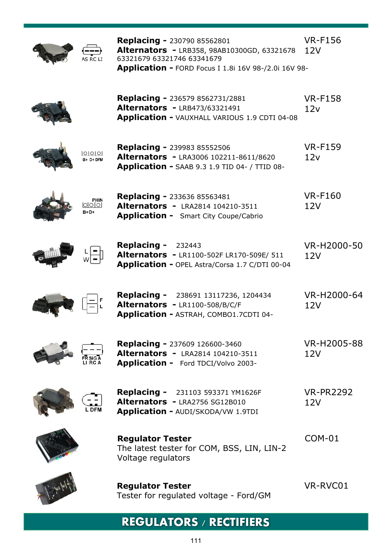

**Replacing -** 230790 85562801 **Alternators -** LRB358, 98AB10300GD, 63321678 63321679 63321746 63341679 **Application -** FORD Focus I 1.8i 16V 98-/2.0i 16V 98- VR-F156  $12V$ 



| <b>Replacing - 236579 8562731/2881</b>               | <b>VR-F158</b> |
|------------------------------------------------------|----------------|
| <b>Alternators - LRB473/63321491</b>                 | 12v            |
| <b>Application - VAUXHALL VARIOUS 1.9 CDTI 04-08</b> |                |



 $B + D + DFM$ 

**Replacing -** 239983 85552506 **Alternators -** LRA3006 102211-8611/8620 **Application -** SAAB 9.3 1.9 TID 04- / TTID 08- VR-F159  $12v$ 





| <b>Replacing - 233636 85563481</b>           | <b>VR-F160</b> |
|----------------------------------------------|----------------|
| <b>Alternators - LRA2814 104210-3511</b>     | 12V            |
| <b>Application -</b> Smart City Coupe/Cabrio |                |





**Replacing -** 232443 **Alternators -** LR1100-502F LR170-509E/ 511 **Application -** OPEL Astra/Corsa 1.7 C/DTI 00-04 VR-H2000-50 12V



| <b>Replacing -</b> 238691 13117236, 1204434   | VR-H2000-64 |
|-----------------------------------------------|-------------|
| Alternators - LR1100-508/B/C/F                | 12V         |
| <b>Application - ASTRAH, COMBO1.7CDTI 04-</b> |             |

 $2V$ 



**Replacing -** 237609 126600-3460 **Alternators -** LRA2814 104210-3511 **Application -** Ford TDCI/Volvo 2003- VR-H2005-88 12V



**Replacing -** 231103 593371 YM1626F **Alternators -** LRA2756 SG12B010 **Application -** AUDI/SKODA/VW 1.9TDI

VR-PR2292  $12V$ 



**Regulator Tester** The latest tester for COM, BSS, LIN, LIN-2 Voltage regulators



COM-01



Tester for regulated voltage - Ford/GM

**Regulator Tester**